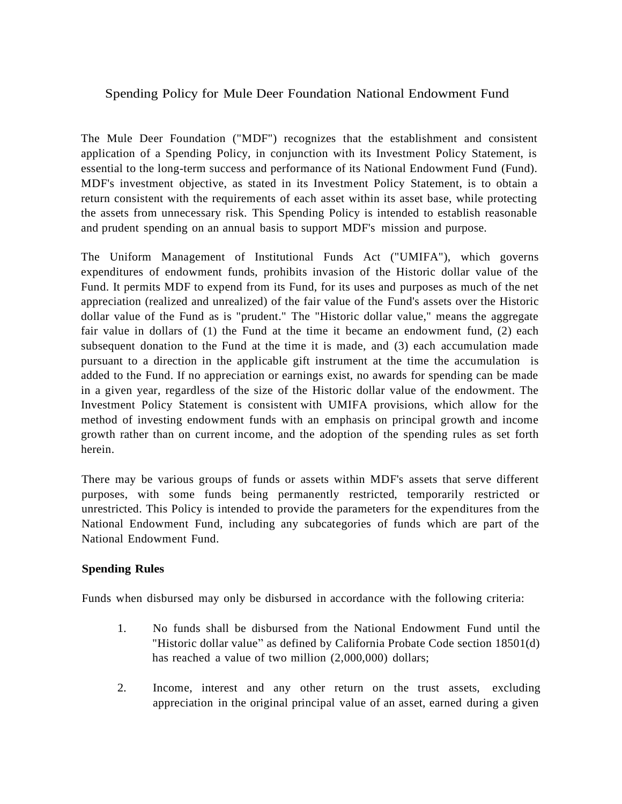## Spending Policy for Mule Deer Foundation National Endowment Fund

The Mule Deer Foundation ("MDF") recognizes that the establishment and consistent application of a Spending Policy, in conjunction with its Investment Policy Statement, is essential to the long-term success and performance of its National Endowment Fund (Fund). MDF's investment objective, as stated in its Investment Policy Statement, is to obtain a return consistent with the requirements of each asset within its asset base, while protecting the assets from unnecessary risk. This Spending Policy is intended to establish reasonable and prudent spending on an annual basis to support MDF's mission and purpose.

The Uniform Management of Institutional Funds Act ("UMIFA"), which governs expenditures of endowment funds, prohibits invasion of the Historic dollar value of the Fund. It permits MDF to expend from its Fund, for its uses and purposes as much of the net appreciation (realized and unrealized) of the fair value of the Fund's assets over the Historic dollar value of the Fund as is "prudent." The "Historic dollar value," means the aggregate fair value in dollars of (1) the Fund at the time it became an endowment fund, (2) each subsequent donation to the Fund at the time it is made, and (3) each accumulation made pursuant to a direction in the applicable gift instrument at the time the accumulation is added to the Fund. If no appreciation or earnings exist, no awards for spending can be made in a given year, regardless of the size of the Historic dollar value of the endowment. The Investment Policy Statement is consistent with UMIFA provisions, which allow for the method of investing endowment funds with an emphasis on principal growth and income growth rather than on current income, and the adoption of the spending rules as set forth herein.

There may be various groups of funds or assets within MDF's assets that serve different purposes, with some funds being permanently restricted, temporarily restricted or unrestricted. This Policy is intended to provide the parameters for the expenditures from the National Endowment Fund, including any subcategories of funds which are part of the National Endowment Fund.

## **Spending Rules**

Funds when disbursed may only be disbursed in accordance with the following criteria:

- 1. No funds shall be disbursed from the National Endowment Fund until the "Historic dollar value" as defined by California Probate Code section 18501(d) has reached a value of two million (2,000,000) dollars;
- 2. Income, interest and any other return on the trust assets, excluding appreciation in the original principal value of an asset, earned during a given